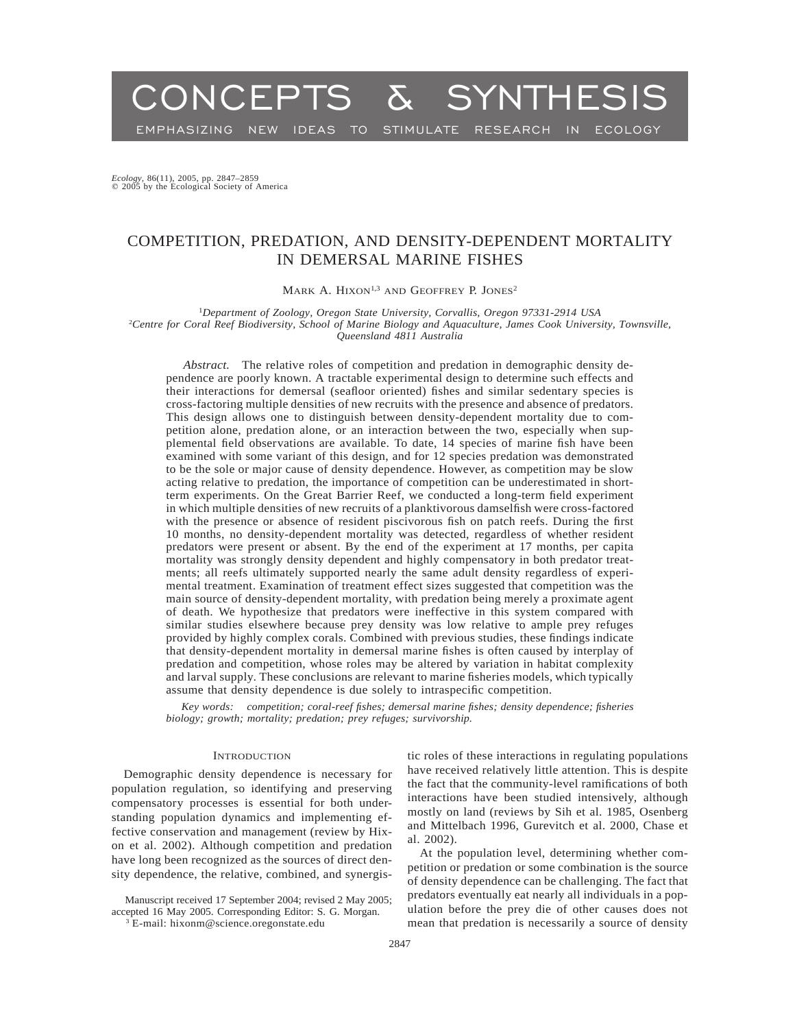# CONCEPTS & SYNTHESIS

EMPHASIZING NEW IDEAS TO STIMULATE RESEARCH IN ECOLOGY

*Ecology,* 86(11), 2005, pp. 2847–2859 © 2005 by the Ecological Society of America

# COMPETITION, PREDATION, AND DENSITY-DEPENDENT MORTALITY IN DEMERSAL MARINE FISHES

MARK A. HIXON<sup>1,3</sup> AND GEOFFREY P. JONES<sup>2</sup>

<sup>1</sup>*Department of Zoology, Oregon State University, Corvallis, Oregon 97331-2914 USA* 2 *Centre for Coral Reef Biodiversity, School of Marine Biology and Aquaculture, James Cook University, Townsville, Queensland 4811 Australia*

*Abstract.* The relative roles of competition and predation in demographic density dependence are poorly known. A tractable experimental design to determine such effects and their interactions for demersal (seafloor oriented) fishes and similar sedentary species is cross-factoring multiple densities of new recruits with the presence and absence of predators. This design allows one to distinguish between density-dependent mortality due to competition alone, predation alone, or an interaction between the two, especially when supplemental field observations are available. To date, 14 species of marine fish have been examined with some variant of this design, and for 12 species predation was demonstrated to be the sole or major cause of density dependence. However, as competition may be slow acting relative to predation, the importance of competition can be underestimated in shortterm experiments. On the Great Barrier Reef, we conducted a long-term field experiment in which multiple densities of new recruits of a planktivorous damselfish were cross-factored with the presence or absence of resident piscivorous fish on patch reefs. During the first 10 months, no density-dependent mortality was detected, regardless of whether resident predators were present or absent. By the end of the experiment at 17 months, per capita mortality was strongly density dependent and highly compensatory in both predator treatments; all reefs ultimately supported nearly the same adult density regardless of experimental treatment. Examination of treatment effect sizes suggested that competition was the main source of density-dependent mortality, with predation being merely a proximate agent of death. We hypothesize that predators were ineffective in this system compared with similar studies elsewhere because prey density was low relative to ample prey refuges provided by highly complex corals. Combined with previous studies, these findings indicate that density-dependent mortality in demersal marine fishes is often caused by interplay of predation and competition, whose roles may be altered by variation in habitat complexity and larval supply. These conclusions are relevant to marine fisheries models, which typically assume that density dependence is due solely to intraspecific competition.

*Key words: competition; coral-reef fishes; demersal marine fishes; density dependence; fisheries biology; growth; mortality; predation; prey refuges; survivorship.*

#### **INTRODUCTION**

Demographic density dependence is necessary for population regulation, so identifying and preserving compensatory processes is essential for both understanding population dynamics and implementing effective conservation and management (review by Hixon et al. 2002). Although competition and predation have long been recognized as the sources of direct density dependence, the relative, combined, and synergis-

Manuscript received 17 September 2004; revised 2 May 2005; accepted 16 May 2005. Corresponding Editor: S. G. Morgan.

<sup>3</sup> E-mail: hixonm@science.oregonstate.edu

tic roles of these interactions in regulating populations have received relatively little attention. This is despite the fact that the community-level ramifications of both interactions have been studied intensively, although mostly on land (reviews by Sih et al. 1985, Osenberg and Mittelbach 1996, Gurevitch et al. 2000, Chase et al. 2002).

At the population level, determining whether competition or predation or some combination is the source of density dependence can be challenging. The fact that predators eventually eat nearly all individuals in a population before the prey die of other causes does not mean that predation is necessarily a source of density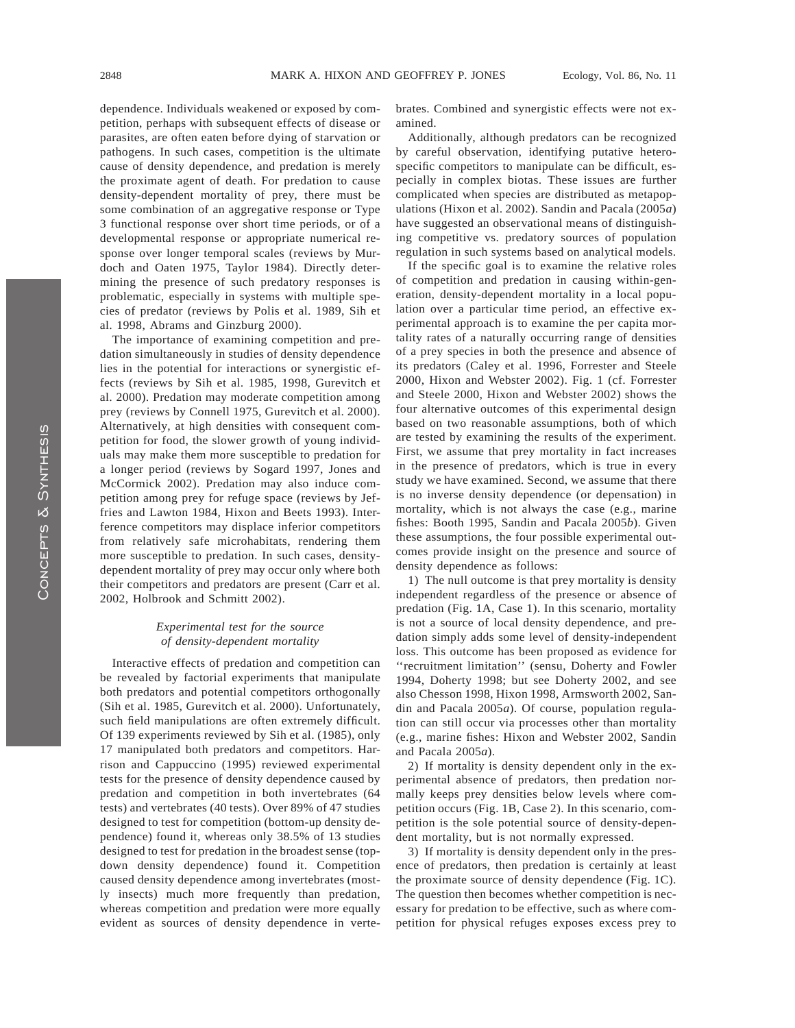dependence. Individuals weakened or exposed by competition, perhaps with subsequent effects of disease or parasites, are often eaten before dying of starvation or pathogens. In such cases, competition is the ultimate cause of density dependence, and predation is merely the proximate agent of death. For predation to cause density-dependent mortality of prey, there must be some combination of an aggregative response or Type 3 functional response over short time periods, or of a developmental response or appropriate numerical response over longer temporal scales (reviews by Murdoch and Oaten 1975, Taylor 1984). Directly determining the presence of such predatory responses is problematic, especially in systems with multiple species of predator (reviews by Polis et al. 1989, Sih et al. 1998, Abrams and Ginzburg 2000).

The importance of examining competition and predation simultaneously in studies of density dependence lies in the potential for interactions or synergistic effects (reviews by Sih et al. 1985, 1998, Gurevitch et al. 2000). Predation may moderate competition among prey (reviews by Connell 1975, Gurevitch et al. 2000). Alternatively, at high densities with consequent competition for food, the slower growth of young individuals may make them more susceptible to predation for a longer period (reviews by Sogard 1997, Jones and McCormick 2002). Predation may also induce competition among prey for refuge space (reviews by Jeffries and Lawton 1984, Hixon and Beets 1993). Interference competitors may displace inferior competitors from relatively safe microhabitats, rendering them more susceptible to predation. In such cases, densitydependent mortality of prey may occur only where both their competitors and predators are present (Carr et al. 2002, Holbrook and Schmitt 2002).

# *Experimental test for the source of density-dependent mortality*

Interactive effects of predation and competition can be revealed by factorial experiments that manipulate both predators and potential competitors orthogonally (Sih et al. 1985, Gurevitch et al. 2000). Unfortunately, such field manipulations are often extremely difficult. Of 139 experiments reviewed by Sih et al. (1985), only 17 manipulated both predators and competitors. Harrison and Cappuccino (1995) reviewed experimental tests for the presence of density dependence caused by predation and competition in both invertebrates (64 tests) and vertebrates (40 tests). Over 89% of 47 studies designed to test for competition (bottom-up density dependence) found it, whereas only 38.5% of 13 studies designed to test for predation in the broadest sense (topdown density dependence) found it. Competition caused density dependence among invertebrates (mostly insects) much more frequently than predation, whereas competition and predation were more equally evident as sources of density dependence in vertebrates. Combined and synergistic effects were not examined.

Additionally, although predators can be recognized by careful observation, identifying putative heterospecific competitors to manipulate can be difficult, especially in complex biotas. These issues are further complicated when species are distributed as metapopulations (Hixon et al. 2002). Sandin and Pacala (2005*a*) have suggested an observational means of distinguishing competitive vs. predatory sources of population regulation in such systems based on analytical models.

If the specific goal is to examine the relative roles of competition and predation in causing within-generation, density-dependent mortality in a local population over a particular time period, an effective experimental approach is to examine the per capita mortality rates of a naturally occurring range of densities of a prey species in both the presence and absence of its predators (Caley et al. 1996, Forrester and Steele 2000, Hixon and Webster 2002). Fig. 1 (cf. Forrester and Steele 2000, Hixon and Webster 2002) shows the four alternative outcomes of this experimental design based on two reasonable assumptions, both of which are tested by examining the results of the experiment. First, we assume that prey mortality in fact increases in the presence of predators, which is true in every study we have examined. Second, we assume that there is no inverse density dependence (or depensation) in mortality, which is not always the case (e.g., marine fishes: Booth 1995, Sandin and Pacala 2005*b*). Given these assumptions, the four possible experimental outcomes provide insight on the presence and source of density dependence as follows:

1) The null outcome is that prey mortality is density independent regardless of the presence or absence of predation (Fig. 1A, Case 1). In this scenario, mortality is not a source of local density dependence, and predation simply adds some level of density-independent loss. This outcome has been proposed as evidence for ''recruitment limitation'' (sensu, Doherty and Fowler 1994, Doherty 1998; but see Doherty 2002, and see also Chesson 1998, Hixon 1998, Armsworth 2002, Sandin and Pacala 2005*a*). Of course, population regulation can still occur via processes other than mortality (e.g., marine fishes: Hixon and Webster 2002, Sandin and Pacala 2005*a*).

2) If mortality is density dependent only in the experimental absence of predators, then predation normally keeps prey densities below levels where competition occurs (Fig. 1B, Case 2). In this scenario, competition is the sole potential source of density-dependent mortality, but is not normally expressed.

3) If mortality is density dependent only in the presence of predators, then predation is certainly at least the proximate source of density dependence (Fig. 1C). The question then becomes whether competition is necessary for predation to be effective, such as where competition for physical refuges exposes excess prey to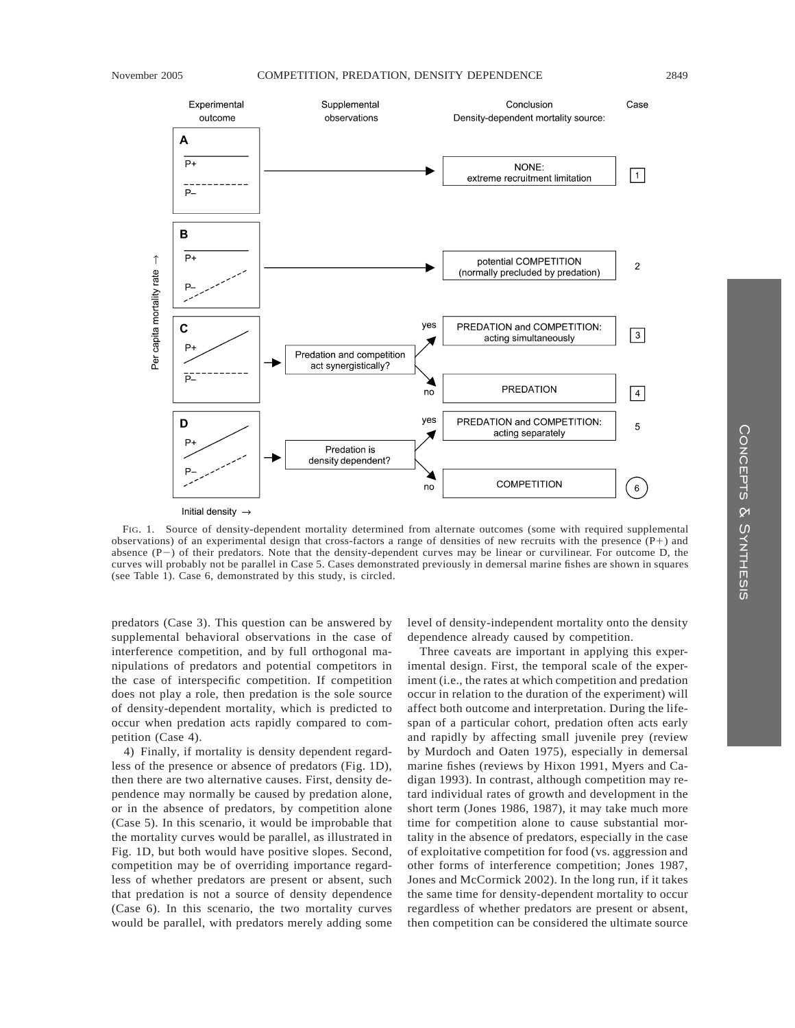

FIG. 1. Source of density-dependent mortality determined from alternate outcomes (some with required supplemental observations) of an experimental design that cross-factors a range of densities of new recruits with the presence  $(P+)$  and absence  $(P-)$  of their predators. Note that the density-dependent curves may be linear or curvilinear. For outcome D, the curves will probably not be parallel in Case 5. Cases demonstrated previously in demersal marine fishes are shown in squares (see Table 1). Case 6, demonstrated by this study, is circled.

predators (Case 3). This question can be answered by supplemental behavioral observations in the case of interference competition, and by full orthogonal manipulations of predators and potential competitors in the case of interspecific competition. If competition does not play a role, then predation is the sole source of density-dependent mortality, which is predicted to occur when predation acts rapidly compared to competition (Case 4).

4) Finally, if mortality is density dependent regardless of the presence or absence of predators (Fig. 1D), then there are two alternative causes. First, density dependence may normally be caused by predation alone, or in the absence of predators, by competition alone (Case 5). In this scenario, it would be improbable that the mortality curves would be parallel, as illustrated in Fig. 1D, but both would have positive slopes. Second, competition may be of overriding importance regardless of whether predators are present or absent, such that predation is not a source of density dependence (Case 6). In this scenario, the two mortality curves would be parallel, with predators merely adding some

level of density-independent mortality onto the density dependence already caused by competition.

Three caveats are important in applying this experimental design. First, the temporal scale of the experiment (i.e., the rates at which competition and predation occur in relation to the duration of the experiment) will affect both outcome and interpretation. During the lifespan of a particular cohort, predation often acts early and rapidly by affecting small juvenile prey (review by Murdoch and Oaten 1975), especially in demersal marine fishes (reviews by Hixon 1991, Myers and Cadigan 1993). In contrast, although competition may retard individual rates of growth and development in the short term (Jones 1986, 1987), it may take much more time for competition alone to cause substantial mortality in the absence of predators, especially in the case of exploitative competition for food (vs. aggression and other forms of interference competition; Jones 1987, Jones and McCormick 2002). In the long run, if it takes the same time for density-dependent mortality to occur regardless of whether predators are present or absent, then competition can be considered the ultimate source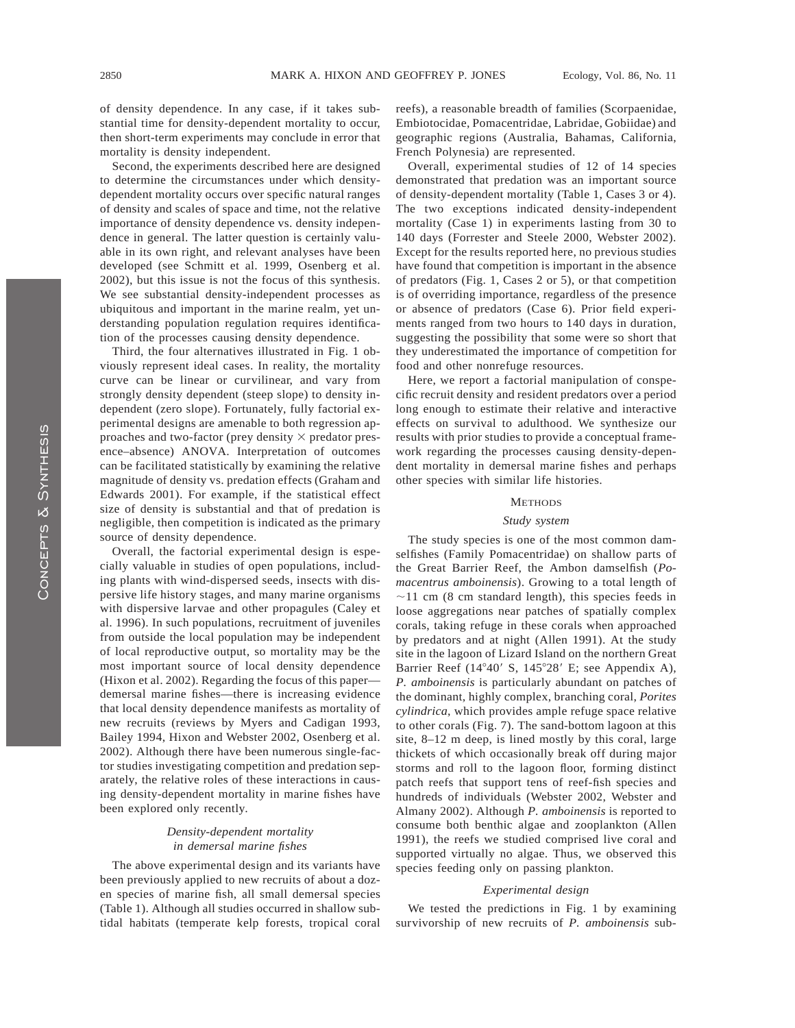of density dependence. In any case, if it takes substantial time for density-dependent mortality to occur, then short-term experiments may conclude in error that mortality is density independent.

Second, the experiments described here are designed to determine the circumstances under which densitydependent mortality occurs over specific natural ranges of density and scales of space and time, not the relative importance of density dependence vs. density independence in general. The latter question is certainly valuable in its own right, and relevant analyses have been developed (see Schmitt et al. 1999, Osenberg et al. 2002), but this issue is not the focus of this synthesis. We see substantial density-independent processes as ubiquitous and important in the marine realm, yet understanding population regulation requires identification of the processes causing density dependence.

Third, the four alternatives illustrated in Fig. 1 obviously represent ideal cases. In reality, the mortality curve can be linear or curvilinear, and vary from strongly density dependent (steep slope) to density independent (zero slope). Fortunately, fully factorial experimental designs are amenable to both regression approaches and two-factor (prey density  $\times$  predator presence–absence) ANOVA. Interpretation of outcomes can be facilitated statistically by examining the relative magnitude of density vs. predation effects (Graham and Edwards 2001). For example, if the statistical effect size of density is substantial and that of predation is negligible, then competition is indicated as the primary source of density dependence.

Overall, the factorial experimental design is especially valuable in studies of open populations, including plants with wind-dispersed seeds, insects with dispersive life history stages, and many marine organisms with dispersive larvae and other propagules (Caley et al. 1996). In such populations, recruitment of juveniles from outside the local population may be independent of local reproductive output, so mortality may be the most important source of local density dependence (Hixon et al. 2002). Regarding the focus of this paper demersal marine fishes—there is increasing evidence that local density dependence manifests as mortality of new recruits (reviews by Myers and Cadigan 1993, Bailey 1994, Hixon and Webster 2002, Osenberg et al. 2002). Although there have been numerous single-factor studies investigating competition and predation separately, the relative roles of these interactions in causing density-dependent mortality in marine fishes have been explored only recently.

# *Density-dependent mortality in demersal marine fishes*

The above experimental design and its variants have been previously applied to new recruits of about a dozen species of marine fish, all small demersal species (Table 1). Although all studies occurred in shallow subtidal habitats (temperate kelp forests, tropical coral reefs), a reasonable breadth of families (Scorpaenidae, Embiotocidae, Pomacentridae, Labridae, Gobiidae) and geographic regions (Australia, Bahamas, California, French Polynesia) are represented.

Overall, experimental studies of 12 of 14 species demonstrated that predation was an important source of density-dependent mortality (Table 1, Cases 3 or 4). The two exceptions indicated density-independent mortality (Case 1) in experiments lasting from 30 to 140 days (Forrester and Steele 2000, Webster 2002). Except for the results reported here, no previous studies have found that competition is important in the absence of predators (Fig. 1, Cases 2 or 5), or that competition is of overriding importance, regardless of the presence or absence of predators (Case 6). Prior field experiments ranged from two hours to 140 days in duration, suggesting the possibility that some were so short that they underestimated the importance of competition for food and other nonrefuge resources.

Here, we report a factorial manipulation of conspecific recruit density and resident predators over a period long enough to estimate their relative and interactive effects on survival to adulthood. We synthesize our results with prior studies to provide a conceptual framework regarding the processes causing density-dependent mortality in demersal marine fishes and perhaps other species with similar life histories.

#### **METHODS**

# *Study system*

The study species is one of the most common damselfishes (Family Pomacentridae) on shallow parts of the Great Barrier Reef, the Ambon damselfish (*Pomacentrus amboinensis*). Growing to a total length of  $\sim$ 11 cm (8 cm standard length), this species feeds in loose aggregations near patches of spatially complex corals, taking refuge in these corals when approached by predators and at night (Allen 1991). At the study site in the lagoon of Lizard Island on the northern Great Barrier Reef (14 $\degree$ 40' S, 145 $\degree$ 28' E; see Appendix A), *P. amboinensis* is particularly abundant on patches of the dominant, highly complex, branching coral, *Porites cylindrica*, which provides ample refuge space relative to other corals (Fig. 7). The sand-bottom lagoon at this site, 8–12 m deep, is lined mostly by this coral, large thickets of which occasionally break off during major storms and roll to the lagoon floor, forming distinct patch reefs that support tens of reef-fish species and hundreds of individuals (Webster 2002, Webster and Almany 2002). Although *P. amboinensis* is reported to consume both benthic algae and zooplankton (Allen 1991), the reefs we studied comprised live coral and supported virtually no algae. Thus, we observed this species feeding only on passing plankton.

## *Experimental design*

We tested the predictions in Fig. 1 by examining survivorship of new recruits of *P. amboinensis* sub-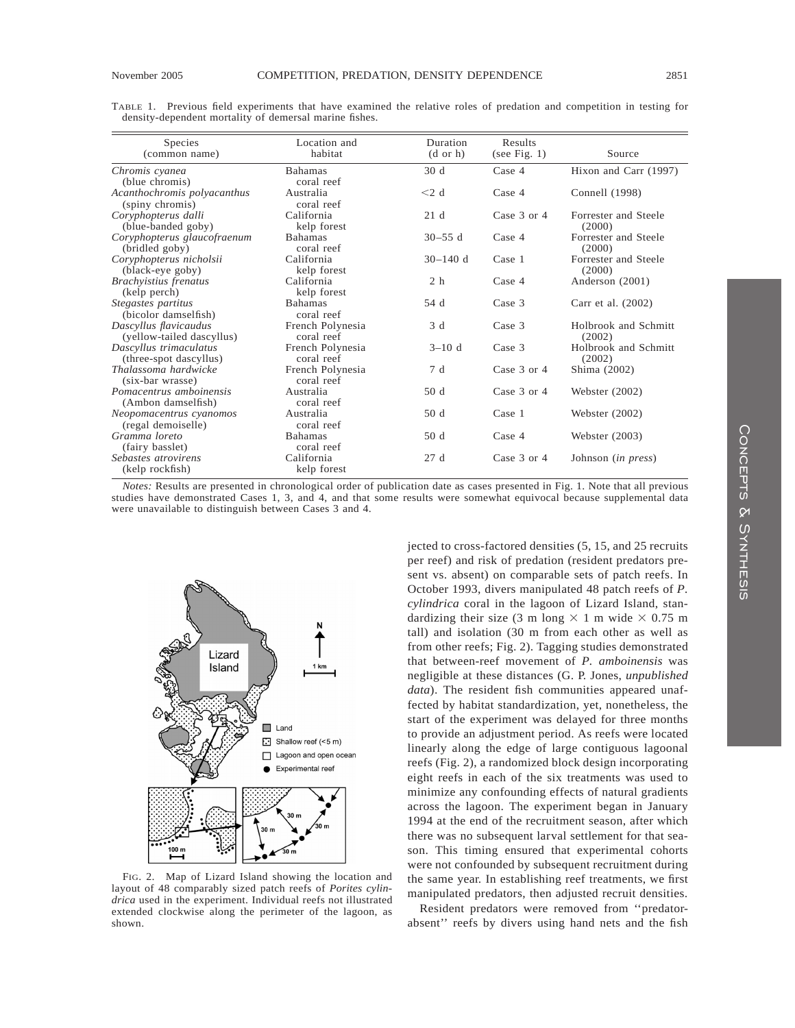| Species<br>(common name)    | Location and<br>habitat | Duration<br>$(d \text{ or } h)$ | Results<br>(see Fig. 1) | Source                      |
|-----------------------------|-------------------------|---------------------------------|-------------------------|-----------------------------|
| Chromis cyanea              | <b>Bahamas</b>          | 30d                             | Case 4                  | Hixon and Carr (1997)       |
| (blue chromis)              | coral reef              |                                 |                         |                             |
| Acanthochromis polyacanthus | Australia               | $<$ 2 d                         | Case 4                  | Connell (1998)              |
| (spiny chromis)             | coral reef              |                                 |                         |                             |
| Coryphopterus dalli         | California              | 21d                             | Case $3$ or $4$         | Forrester and Steele        |
| (blue-banded goby)          | kelp forest             |                                 |                         | (2000)                      |
| Coryphopterus glaucofraenum | <b>Bahamas</b>          | $30 - 55$ d                     | Case 4                  | Forrester and Steele        |
| (bridled goby)              | coral reef              |                                 |                         | (2000)                      |
| Coryphopterus nicholsii     | California              | $30-140$ d                      | Case 1                  | Forrester and Steele        |
| (black-eye goby)            | kelp forest             |                                 |                         | (2000)                      |
| Brachyistius frenatus       | California              | 2 <sub>h</sub>                  | Case 4                  | Anderson (2001)             |
| (kelp perch)                | kelp forest             |                                 |                         |                             |
| Stegastes partitus          | <b>Bahamas</b>          | 54 d                            | Case 3                  | Carr et al. (2002)          |
| (bicolor damselfish)        | coral reef              |                                 |                         |                             |
| Dascyllus flavicaudus       | French Polynesia        | 3d                              | Case 3                  | Holbrook and Schmitt        |
| (yellow-tailed dascyllus)   | coral reef              |                                 |                         | (2002)                      |
| Dascyllus trimaculatus      | French Polynesia        | $3-10d$                         | Case 3                  | Holbrook and Schmitt        |
| (three-spot dascyllus)      | coral reef              |                                 |                         | (2002)                      |
| Thalassoma hardwicke        | French Polynesia        | 7d                              | Case $3$ or $4$         | Shima (2002)                |
| (six-bar wrasse)            | coral reef              |                                 |                         |                             |
| Pomacentrus amboinensis     | Australia               | 50d                             | Case $3$ or $4$         | Webster $(2002)$            |
| (Ambon damselfish)          | coral reef              |                                 |                         |                             |
| Neopomacentrus cyanomos     | Australia               | 50d                             | Case 1                  | Webster $(2002)$            |
| (regal demoiselle)          | coral reef              |                                 |                         |                             |
| Gramma loreto               | <b>Bahamas</b>          | 50 d                            | Case 4                  | Webster $(2003)$            |
| (fairy basslet)             | coral reef              |                                 |                         |                             |
| Sebastes atrovirens         | California              | 27d                             | Case $3$ or $4$         | Johnson ( <i>in press</i> ) |
| (kelp rockfish)             | kelp forest             |                                 |                         |                             |

TABLE 1. Previous field experiments that have examined the relative roles of predation and competition in testing for density-dependent mortality of demersal marine fishes.

*Notes:* Results are presented in chronological order of publication date as cases presented in Fig. 1. Note that all previous studies have demonstrated Cases 1, 3, and 4, and that some results were somewhat equivocal because supplemental data were unavailable to distinguish between Cases 3 and 4.



FIG. 2. Map of Lizard Island showing the location and layout of 48 comparably sized patch reefs of *Porites cylindrica* used in the experiment. Individual reefs not illustrated extended clockwise along the perimeter of the lagoon, as shown.

jected to cross-factored densities (5, 15, and 25 recruits per reef) and risk of predation (resident predators present vs. absent) on comparable sets of patch reefs. In October 1993, divers manipulated 48 patch reefs of *P. cylindrica* coral in the lagoon of Lizard Island, standardizing their size (3 m long  $\times$  1 m wide  $\times$  0.75 m tall) and isolation (30 m from each other as well as from other reefs; Fig. 2). Tagging studies demonstrated that between-reef movement of *P. amboinensis* was negligible at these distances (G. P. Jones, *unpublished* data). The resident fish communities appeared unaffected by habitat standardization, yet, nonetheless, the start of the experiment was delayed for three months to provide an adjustment period. As reefs were located linearly along the edge of large contiguous lagoonal reefs (Fig. 2), a randomized block design incorporating eight reefs in each of the six treatments was used to minimize any confounding effects of natural gradients across the lagoon. The experiment began in January 1994 at the end of the recruitment season, after which there was no subsequent larval settlement for that season. This timing ensured that experimental cohorts were not confounded by subsequent recruitment during the same year. In establishing reef treatments, we first manipulated predators, then adjusted recruit densities.

Resident predators were removed from ''predatorabsent'' reefs by divers using hand nets and the fish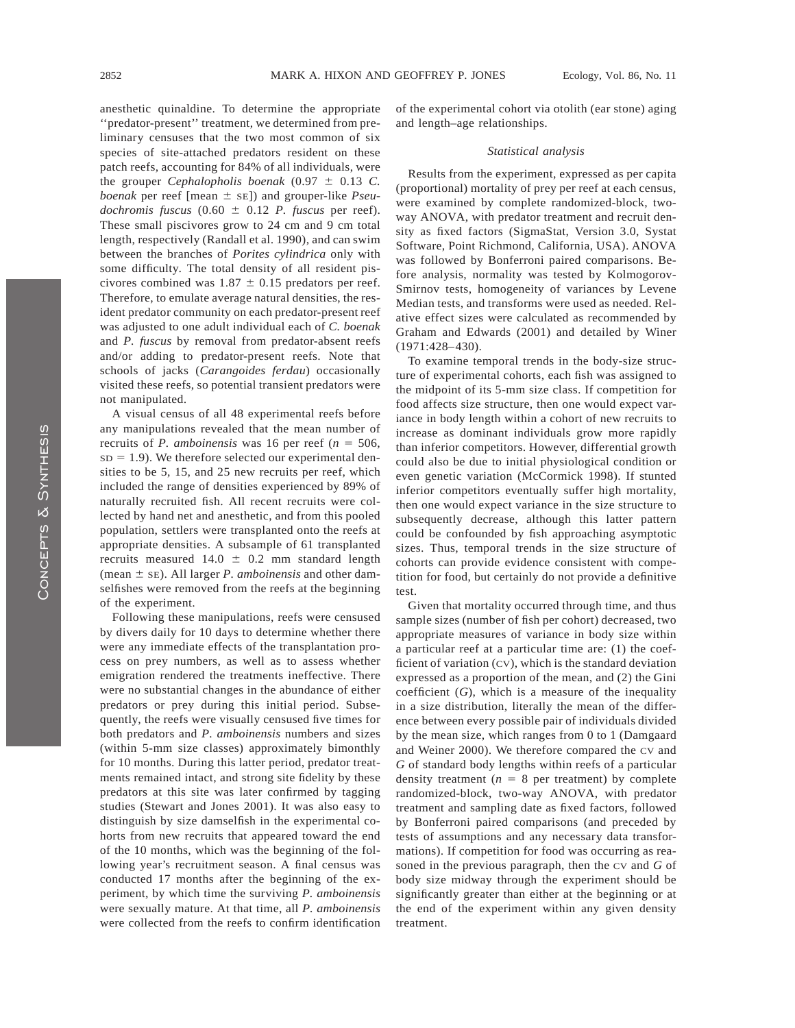anesthetic quinaldine. To determine the appropriate ''predator-present'' treatment, we determined from preliminary censuses that the two most common of six species of site-attached predators resident on these patch reefs, accounting for 84% of all individuals, were the grouper *Cephalopholis boenak*  $(0.97 \pm 0.13 \, C.$ *boenak* per reef [mean  $\pm$  se]) and grouper-like *Pseudochromis fuscus* (0.60  $\pm$  0.12 *P. fuscus* per reef). These small piscivores grow to 24 cm and 9 cm total length, respectively (Randall et al. 1990), and can swim between the branches of *Porites cylindrica* only with some difficulty. The total density of all resident piscivores combined was  $1.87 \pm 0.15$  predators per reef. Therefore, to emulate average natural densities, the resident predator community on each predator-present reef was adjusted to one adult individual each of *C. boenak* and *P. fuscus* by removal from predator-absent reefs and/or adding to predator-present reefs. Note that schools of jacks (*Carangoides ferdau*) occasionally visited these reefs, so potential transient predators were not manipulated.

A visual census of all 48 experimental reefs before any manipulations revealed that the mean number of recruits of *P. amboinensis* was 16 per reef ( $n = 506$ ,  $SD = 1.9$ ). We therefore selected our experimental densities to be 5, 15, and 25 new recruits per reef, which included the range of densities experienced by 89% of naturally recruited fish. All recent recruits were collected by hand net and anesthetic, and from this pooled population, settlers were transplanted onto the reefs at appropriate densities. A subsample of 61 transplanted recruits measured  $14.0 \pm 0.2$  mm standard length (mean  $\pm$  sE). All larger *P. amboinensis* and other damselfishes were removed from the reefs at the beginning of the experiment.

Following these manipulations, reefs were censused by divers daily for 10 days to determine whether there were any immediate effects of the transplantation process on prey numbers, as well as to assess whether emigration rendered the treatments ineffective. There were no substantial changes in the abundance of either predators or prey during this initial period. Subsequently, the reefs were visually censused five times for both predators and *P. amboinensis* numbers and sizes (within 5-mm size classes) approximately bimonthly for 10 months. During this latter period, predator treatments remained intact, and strong site fidelity by these predators at this site was later confirmed by tagging studies (Stewart and Jones 2001). It was also easy to distinguish by size damselfish in the experimental cohorts from new recruits that appeared toward the end of the 10 months, which was the beginning of the following year's recruitment season. A final census was conducted 17 months after the beginning of the experiment, by which time the surviving *P. amboinensis* were sexually mature. At that time, all *P. amboinensis* were collected from the reefs to confirm identification of the experimental cohort via otolith (ear stone) aging and length–age relationships.

# *Statistical analysis*

Results from the experiment, expressed as per capita (proportional) mortality of prey per reef at each census, were examined by complete randomized-block, twoway ANOVA, with predator treatment and recruit density as fixed factors (SigmaStat, Version 3.0, Systat Software, Point Richmond, California, USA). ANOVA was followed by Bonferroni paired comparisons. Before analysis, normality was tested by Kolmogorov-Smirnov tests, homogeneity of variances by Levene Median tests, and transforms were used as needed. Relative effect sizes were calculated as recommended by Graham and Edwards (2001) and detailed by Winer (1971:428–430).

To examine temporal trends in the body-size structure of experimental cohorts, each fish was assigned to the midpoint of its 5-mm size class. If competition for food affects size structure, then one would expect variance in body length within a cohort of new recruits to increase as dominant individuals grow more rapidly than inferior competitors. However, differential growth could also be due to initial physiological condition or even genetic variation (McCormick 1998). If stunted inferior competitors eventually suffer high mortality, then one would expect variance in the size structure to subsequently decrease, although this latter pattern could be confounded by fish approaching asymptotic sizes. Thus, temporal trends in the size structure of cohorts can provide evidence consistent with competition for food, but certainly do not provide a definitive test.

Given that mortality occurred through time, and thus sample sizes (number of fish per cohort) decreased, two appropriate measures of variance in body size within a particular reef at a particular time are: (1) the coefficient of variation (CV), which is the standard deviation expressed as a proportion of the mean, and (2) the Gini coefficient  $(G)$ , which is a measure of the inequality in a size distribution, literally the mean of the difference between every possible pair of individuals divided by the mean size, which ranges from 0 to 1 (Damgaard and Weiner 2000). We therefore compared the CV and *G* of standard body lengths within reefs of a particular density treatment  $(n = 8$  per treatment) by complete randomized-block, two-way ANOVA, with predator treatment and sampling date as fixed factors, followed by Bonferroni paired comparisons (and preceded by tests of assumptions and any necessary data transformations). If competition for food was occurring as reasoned in the previous paragraph, then the CV and *G* of body size midway through the experiment should be significantly greater than either at the beginning or at the end of the experiment within any given density treatment.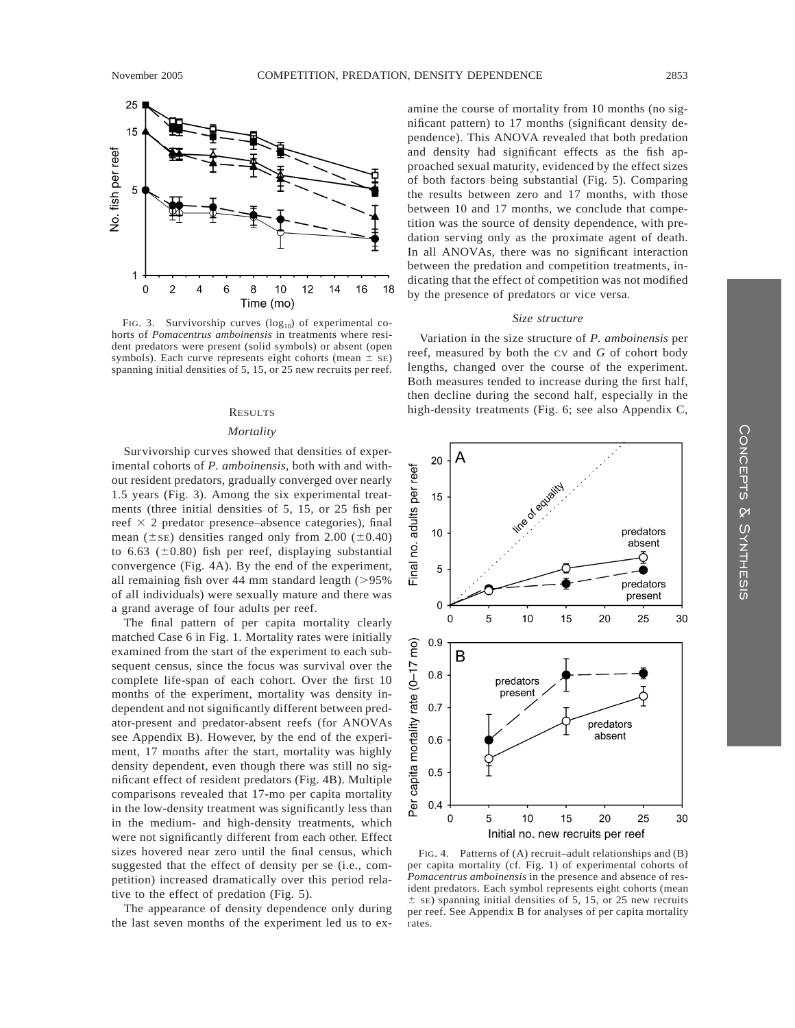

FIG. 3. Survivorship curves  $(log_{10})$  of experimental cohorts of *Pomacentrus amboinensis* in treatments where resident predators were present (solid symbols) or absent (open symbols). Each curve represents eight cohorts (mean  $\pm$  sE) spanning initial densities of 5, 15, or 25 new recruits per reef.

## RESULTS

#### *Mortality*

Survivorship curves showed that densities of experimental cohorts of *P. amboinensis*, both with and without resident predators, gradually converged over nearly 1.5 years (Fig. 3). Among the six experimental treatments (three initial densities of 5, 15, or 25 fish per reef  $\times$  2 predator presence–absence categories), final mean ( $\pm$ SE) densities ranged only from 2.00 ( $\pm$ 0.40) to 6.63 ( $\pm$ 0.80) fish per reef, displaying substantial convergence (Fig. 4A). By the end of the experiment, all remaining fish over 44 mm standard length  $(>\,95\%$ of all individuals) were sexually mature and there was a grand average of four adults per reef.

The final pattern of per capita mortality clearly matched Case 6 in Fig. 1. Mortality rates were initially examined from the start of the experiment to each subsequent census, since the focus was survival over the complete life-span of each cohort. Over the first 10 months of the experiment, mortality was density independent and not significantly different between predator-present and predator-absent reefs (for ANOVAs see Appendix B). However, by the end of the experiment, 17 months after the start, mortality was highly density dependent, even though there was still no significant effect of resident predators (Fig. 4B). Multiple comparisons revealed that 17-mo per capita mortality in the low-density treatment was significantly less than in the medium- and high-density treatments, which were not significantly different from each other. Effect sizes hovered near zero until the final census, which suggested that the effect of density per se (i.e., competition) increased dramatically over this period relative to the effect of predation (Fig. 5).

The appearance of density dependence only during the last seven months of the experiment led us to ex-

amine the course of mortality from 10 months (no significant pattern) to 17 months (significant density dependence). This ANOVA revealed that both predation and density had significant effects as the fish approached sexual maturity, evidenced by the effect sizes of both factors being substantial (Fig. 5). Comparing the results between zero and 17 months, with those between 10 and 17 months, we conclude that competition was the source of density dependence, with predation serving only as the proximate agent of death. In all ANOVAs, there was no significant interaction between the predation and competition treatments, indicating that the effect of competition was not modified by the presence of predators or vice versa.

#### *Size structure*

Variation in the size structure of *P. amboinensis* per reef, measured by both the CV and *G* of cohort body lengths, changed over the course of the experiment. Both measures tended to increase during the first half, then decline during the second half, especially in the high-density treatments (Fig. 6; see also Appendix C,



FIG. 4. Patterns of (A) recruit–adult relationships and (B) per capita mortality (cf. Fig. 1) of experimental cohorts of *Pomacentrus amboinensis* in the presence and absence of resident predators. Each symbol represents eight cohorts (mean  $\pm$  SE) spanning initial densities of 5, 15, or 25 new recruits per reef. See Appendix B for analyses of per capita mortality rates.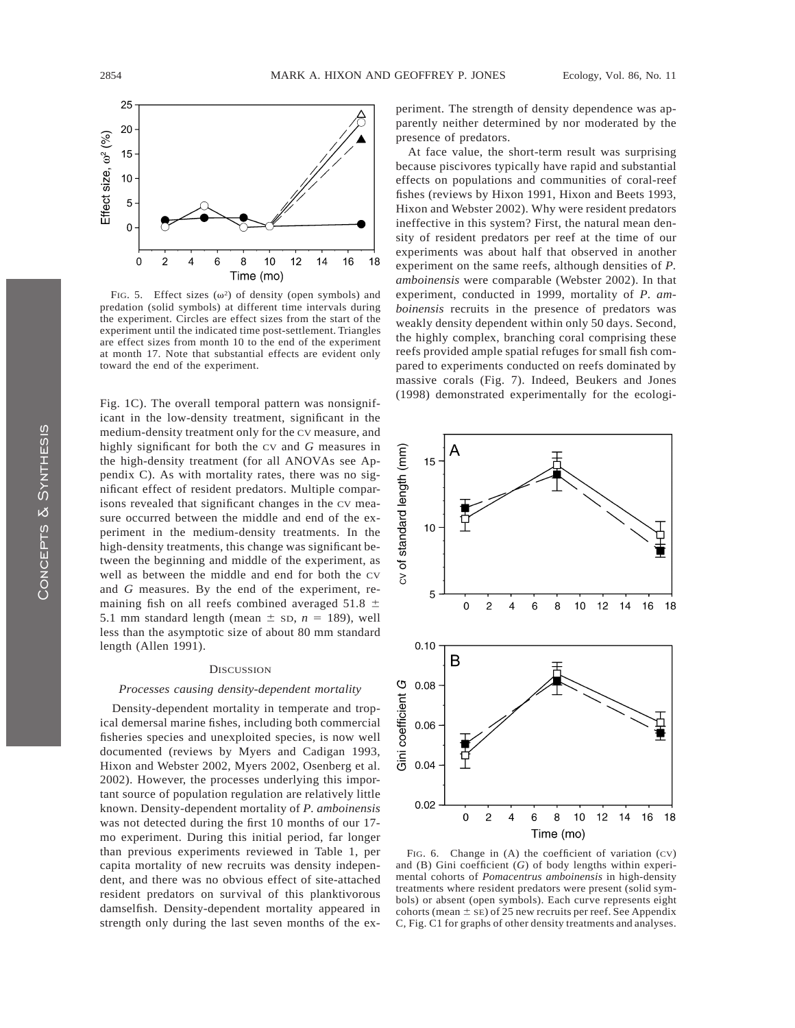

FIG. 5. Effect sizes  $(\omega^2)$  of density (open symbols) and predation (solid symbols) at different time intervals during the experiment. Circles are effect sizes from the start of the experiment until the indicated time post-settlement. Triangles are effect sizes from month 10 to the end of the experiment at month 17. Note that substantial effects are evident only toward the end of the experiment.

Fig. 1C). The overall temporal pattern was nonsignificant in the low-density treatment, significant in the medium-density treatment only for the CV measure, and highly significant for both the CV and *G* measures in the high-density treatment (for all ANOVAs see Appendix C). As with mortality rates, there was no significant effect of resident predators. Multiple comparisons revealed that significant changes in the CV measure occurred between the middle and end of the experiment in the medium-density treatments. In the high-density treatments, this change was significant between the beginning and middle of the experiment, as well as between the middle and end for both the CV and *G* measures. By the end of the experiment, remaining fish on all reefs combined averaged  $51.8 \pm$ 5.1 mm standard length (mean  $\pm$  sp,  $n = 189$ ), well less than the asymptotic size of about 80 mm standard length (Allen 1991).

## **DISCUSSION**

#### *Processes causing density-dependent mortality*

Density-dependent mortality in temperate and tropical demersal marine fishes, including both commercial fisheries species and unexploited species, is now well documented (reviews by Myers and Cadigan 1993, Hixon and Webster 2002, Myers 2002, Osenberg et al. 2002). However, the processes underlying this important source of population regulation are relatively little known. Density-dependent mortality of *P. amboinensis* was not detected during the first 10 months of our 17 mo experiment. During this initial period, far longer than previous experiments reviewed in Table 1, per capita mortality of new recruits was density independent, and there was no obvious effect of site-attached resident predators on survival of this planktivorous damselfish. Density-dependent mortality appeared in strength only during the last seven months of the experiment. The strength of density dependence was apparently neither determined by nor moderated by the presence of predators.

At face value, the short-term result was surprising because piscivores typically have rapid and substantial effects on populations and communities of coral-reef fishes (reviews by Hixon 1991, Hixon and Beets 1993, Hixon and Webster 2002). Why were resident predators ineffective in this system? First, the natural mean density of resident predators per reef at the time of our experiments was about half that observed in another experiment on the same reefs, although densities of *P. amboinensis* were comparable (Webster 2002). In that experiment, conducted in 1999, mortality of *P. amboinensis* recruits in the presence of predators was weakly density dependent within only 50 days. Second, the highly complex, branching coral comprising these reefs provided ample spatial refuges for small fish compared to experiments conducted on reefs dominated by massive corals (Fig. 7). Indeed, Beukers and Jones (1998) demonstrated experimentally for the ecologi-



FIG. 6. Change in (A) the coefficient of variation (CV) and (B) Gini coefficient (*G*) of body lengths within experimental cohorts of *Pomacentrus amboinensis* in high-density treatments where resident predators were present (solid symbols) or absent (open symbols). Each curve represents eight cohorts (mean  $\pm$  SE) of 25 new recruits per reef. See Appendix C, Fig. C1 for graphs of other density treatments and analyses.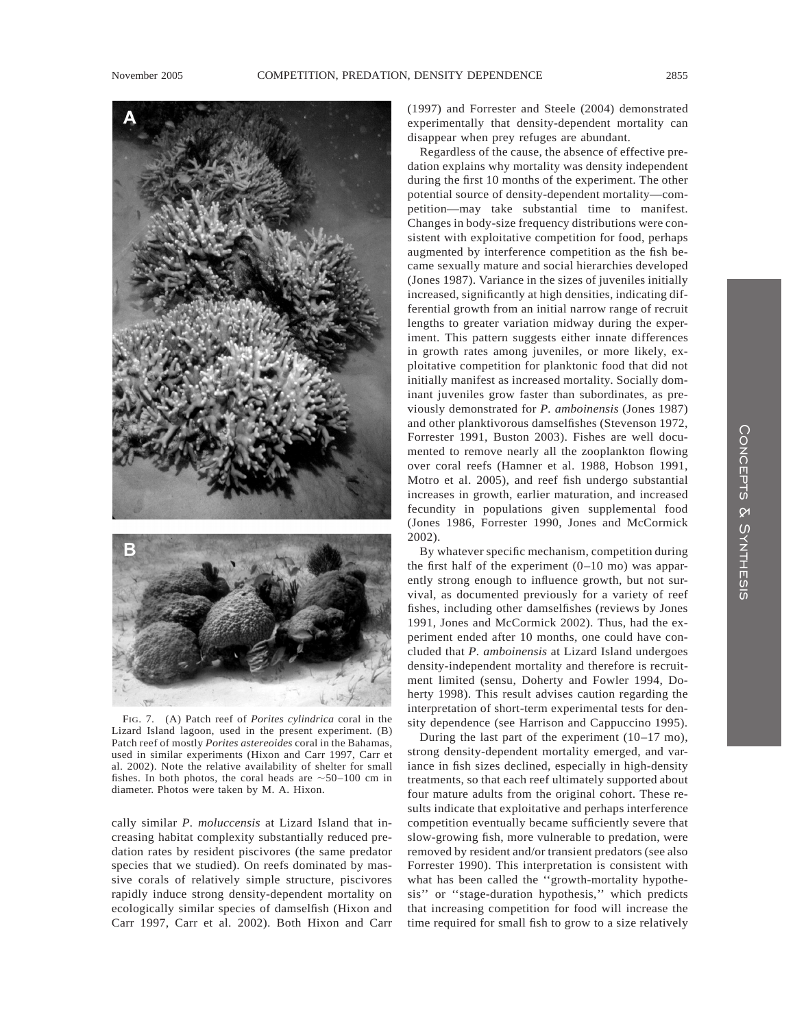

FIG. 7. (A) Patch reef of *Porites cylindrica* coral in the Lizard Island lagoon, used in the present experiment. (B) Patch reef of mostly *Porites astereoides* coral in the Bahamas, used in similar experiments (Hixon and Carr 1997, Carr et al. 2002). Note the relative availability of shelter for small fishes. In both photos, the coral heads are  $\sim$ 50–100 cm in diameter. Photos were taken by M. A. Hixon.

cally similar *P. moluccensis* at Lizard Island that increasing habitat complexity substantially reduced predation rates by resident piscivores (the same predator species that we studied). On reefs dominated by massive corals of relatively simple structure, piscivores rapidly induce strong density-dependent mortality on ecologically similar species of damselfish (Hixon and Carr 1997, Carr et al. 2002). Both Hixon and Carr (1997) and Forrester and Steele (2004) demonstrated experimentally that density-dependent mortality can disappear when prey refuges are abundant.

Regardless of the cause, the absence of effective predation explains why mortality was density independent during the first 10 months of the experiment. The other potential source of density-dependent mortality—competition—may take substantial time to manifest. Changes in body-size frequency distributions were consistent with exploitative competition for food, perhaps augmented by interference competition as the fish became sexually mature and social hierarchies developed (Jones 1987). Variance in the sizes of juveniles initially increased, significantly at high densities, indicating differential growth from an initial narrow range of recruit lengths to greater variation midway during the experiment. This pattern suggests either innate differences in growth rates among juveniles, or more likely, exploitative competition for planktonic food that did not initially manifest as increased mortality. Socially dominant juveniles grow faster than subordinates, as previously demonstrated for *P. amboinensis* (Jones 1987) and other planktivorous damselfishes (Stevenson 1972, Forrester 1991, Buston 2003). Fishes are well documented to remove nearly all the zooplankton flowing over coral reefs (Hamner et al. 1988, Hobson 1991, Motro et al. 2005), and reef fish undergo substantial increases in growth, earlier maturation, and increased fecundity in populations given supplemental food (Jones 1986, Forrester 1990, Jones and McCormick 2002).

By whatever specific mechanism, competition during the first half of the experiment  $(0-10 \text{ mo})$  was apparently strong enough to influence growth, but not survival, as documented previously for a variety of reef fishes, including other damselfishes (reviews by Jones 1991, Jones and McCormick 2002). Thus, had the experiment ended after 10 months, one could have concluded that *P. amboinensis* at Lizard Island undergoes density-independent mortality and therefore is recruitment limited (sensu, Doherty and Fowler 1994, Doherty 1998). This result advises caution regarding the interpretation of short-term experimental tests for density dependence (see Harrison and Cappuccino 1995).

During the last part of the experiment  $(10-17 \text{ mo})$ , strong density-dependent mortality emerged, and variance in fish sizes declined, especially in high-density treatments, so that each reef ultimately supported about four mature adults from the original cohort. These results indicate that exploitative and perhaps interference competition eventually became sufficiently severe that slow-growing fish, more vulnerable to predation, were removed by resident and/or transient predators (see also Forrester 1990). This interpretation is consistent with what has been called the ''growth-mortality hypothesis'' or ''stage-duration hypothesis,'' which predicts that increasing competition for food will increase the time required for small fish to grow to a size relatively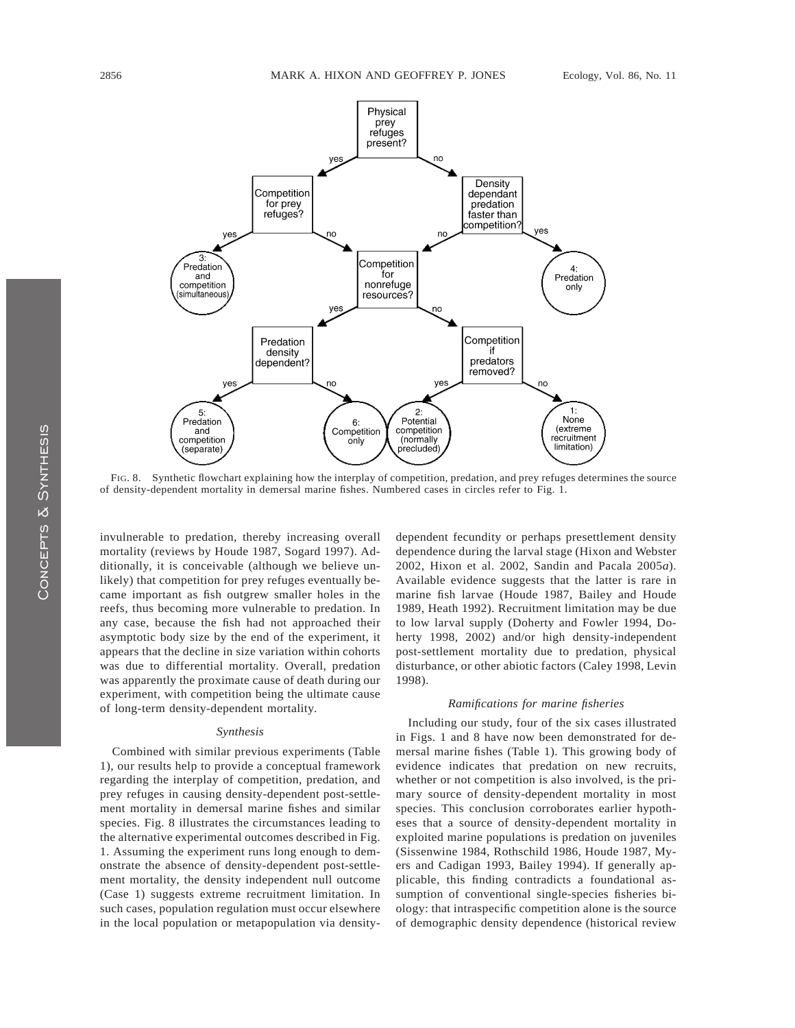

FIG. 8. Synthetic flowchart explaining how the interplay of competition, predation, and prey refuges determines the source of density-dependent mortality in demersal marine fishes. Numbered cases in circles refer to Fig. 1.

invulnerable to predation, thereby increasing overall mortality (reviews by Houde 1987, Sogard 1997). Additionally, it is conceivable (although we believe unlikely) that competition for prey refuges eventually became important as fish outgrew smaller holes in the reefs, thus becoming more vulnerable to predation. In any case, because the fish had not approached their asymptotic body size by the end of the experiment, it appears that the decline in size variation within cohorts was due to differential mortality. Overall, predation was apparently the proximate cause of death during our experiment, with competition being the ultimate cause of long-term density-dependent mortality.

#### *Synthesis*

Combined with similar previous experiments (Table 1), our results help to provide a conceptual framework regarding the interplay of competition, predation, and prey refuges in causing density-dependent post-settlement mortality in demersal marine fishes and similar species. Fig. 8 illustrates the circumstances leading to the alternative experimental outcomes described in Fig. 1. Assuming the experiment runs long enough to demonstrate the absence of density-dependent post-settlement mortality, the density independent null outcome (Case 1) suggests extreme recruitment limitation. In such cases, population regulation must occur elsewhere in the local population or metapopulation via density-

dependent fecundity or perhaps presettlement density dependence during the larval stage (Hixon and Webster 2002, Hixon et al. 2002, Sandin and Pacala 2005*a*). Available evidence suggests that the latter is rare in marine fish larvae (Houde 1987, Bailey and Houde 1989, Heath 1992). Recruitment limitation may be due to low larval supply (Doherty and Fowler 1994, Doherty 1998, 2002) and/or high density-independent post-settlement mortality due to predation, physical disturbance, or other abiotic factors (Caley 1998, Levin 1998).

#### *Ramifications for marine fisheries*

Including our study, four of the six cases illustrated in Figs. 1 and 8 have now been demonstrated for demersal marine fishes (Table 1). This growing body of evidence indicates that predation on new recruits, whether or not competition is also involved, is the primary source of density-dependent mortality in most species. This conclusion corroborates earlier hypotheses that a source of density-dependent mortality in exploited marine populations is predation on juveniles (Sissenwine 1984, Rothschild 1986, Houde 1987, Myers and Cadigan 1993, Bailey 1994). If generally applicable, this finding contradicts a foundational assumption of conventional single-species fisheries biology: that intraspecific competition alone is the source of demographic density dependence (historical review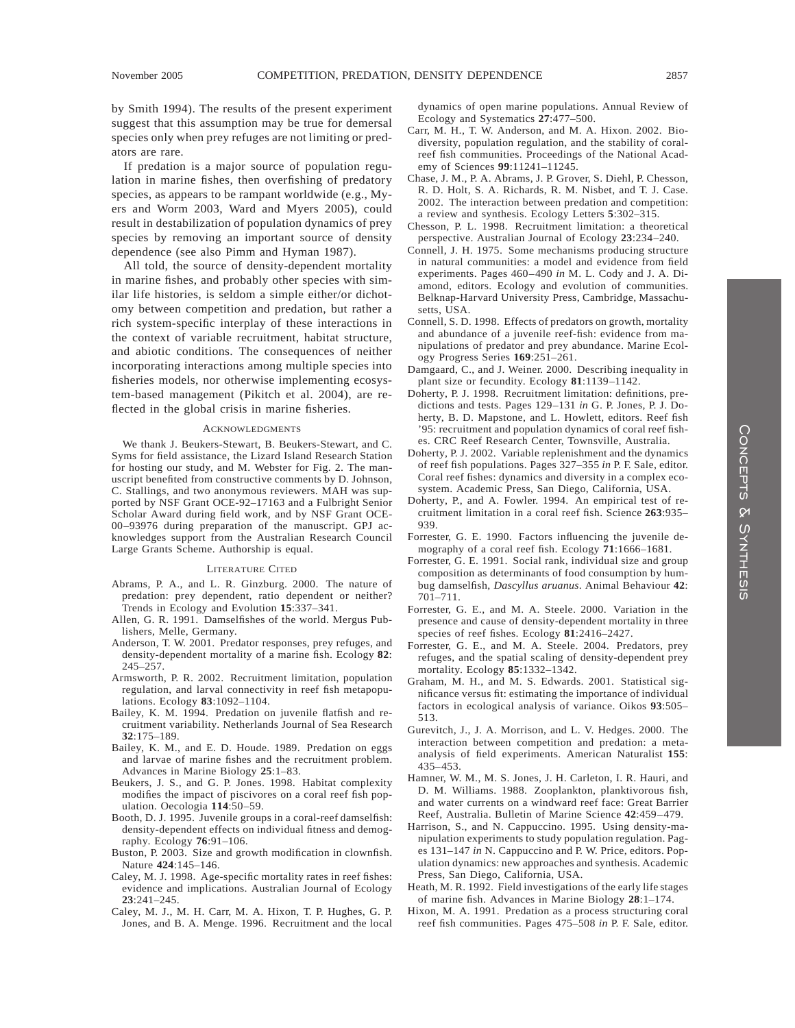by Smith 1994). The results of the present experiment suggest that this assumption may be true for demersal species only when prey refuges are not limiting or predators are rare.

If predation is a major source of population regulation in marine fishes, then overfishing of predatory species, as appears to be rampant worldwide (e.g., Myers and Worm 2003, Ward and Myers 2005), could result in destabilization of population dynamics of prey species by removing an important source of density dependence (see also Pimm and Hyman 1987).

All told, the source of density-dependent mortality in marine fishes, and probably other species with similar life histories, is seldom a simple either/or dichotomy between competition and predation, but rather a rich system-specific interplay of these interactions in the context of variable recruitment, habitat structure, and abiotic conditions. The consequences of neither incorporating interactions among multiple species into fisheries models, nor otherwise implementing ecosystem-based management (Pikitch et al. 2004), are reflected in the global crisis in marine fisheries.

#### **ACKNOWLEDGMENTS**

We thank J. Beukers-Stewart, B. Beukers-Stewart, and C. Syms for field assistance, the Lizard Island Research Station for hosting our study, and M. Webster for Fig. 2. The manuscript benefited from constructive comments by D. Johnson, C. Stallings, and two anonymous reviewers. MAH was supported by NSF Grant OCE-92–17163 and a Fulbright Senior Scholar Award during field work, and by NSF Grant OCE-00–93976 during preparation of the manuscript. GPJ acknowledges support from the Australian Research Council Large Grants Scheme. Authorship is equal.

#### LITERATURE CITED

- Abrams, P. A., and L. R. Ginzburg. 2000. The nature of predation: prey dependent, ratio dependent or neither? Trends in Ecology and Evolution **15**:337–341.
- Allen, G. R. 1991. Damselfishes of the world. Mergus Publishers, Melle, Germany.
- Anderson, T. W. 2001. Predator responses, prey refuges, and density-dependent mortality of a marine fish. Ecology **82**: 245–257.
- Armsworth, P. R. 2002. Recruitment limitation, population regulation, and larval connectivity in reef fish metapopulations. Ecology **83**:1092–1104.
- Bailey, K. M. 1994. Predation on juvenile flatfish and recruitment variability. Netherlands Journal of Sea Research **32**:175–189.
- Bailey, K. M., and E. D. Houde. 1989. Predation on eggs and larvae of marine fishes and the recruitment problem. Advances in Marine Biology **25**:1–83.
- Beukers, J. S., and G. P. Jones. 1998. Habitat complexity modifies the impact of piscivores on a coral reef fish population. Oecologia **114**:50–59.
- Booth, D. J. 1995. Juvenile groups in a coral-reef damselfish: density-dependent effects on individual fitness and demography. Ecology **76**:91–106.
- Buston, P. 2003. Size and growth modification in clownfish. Nature **424**:145–146.
- Caley, M. J. 1998. Age-specific mortality rates in reef fishes: evidence and implications. Australian Journal of Ecology **23**:241–245.
- Caley, M. J., M. H. Carr, M. A. Hixon, T. P. Hughes, G. P. Jones, and B. A. Menge. 1996. Recruitment and the local

dynamics of open marine populations. Annual Review of Ecology and Systematics **27**:477–500.

- Carr, M. H., T. W. Anderson, and M. A. Hixon. 2002. Biodiversity, population regulation, and the stability of coralreef fish communities. Proceedings of the National Academy of Sciences **99**:11241–11245.
- Chase, J. M., P. A. Abrams, J. P. Grover, S. Diehl, P. Chesson, R. D. Holt, S. A. Richards, R. M. Nisbet, and T. J. Case. 2002. The interaction between predation and competition: a review and synthesis. Ecology Letters **5**:302–315.
- Chesson, P. L. 1998. Recruitment limitation: a theoretical perspective. Australian Journal of Ecology **23**:234–240.
- Connell, J. H. 1975. Some mechanisms producing structure in natural communities: a model and evidence from field experiments. Pages 460–490 *in* M. L. Cody and J. A. Diamond, editors. Ecology and evolution of communities. Belknap-Harvard University Press, Cambridge, Massachusetts, USA.
- Connell, S. D. 1998. Effects of predators on growth, mortality and abundance of a juvenile reef-fish: evidence from manipulations of predator and prey abundance. Marine Ecology Progress Series **169**:251–261.
- Damgaard, C., and J. Weiner. 2000. Describing inequality in plant size or fecundity. Ecology **81**:1139–1142.
- Doherty, P. J. 1998. Recruitment limitation: definitions, predictions and tests. Pages 129–131 *in* G. P. Jones, P. J. Doherty, B. D. Mapstone, and L. Howlett, editors. Reef fish '95: recruitment and population dynamics of coral reef fishes. CRC Reef Research Center, Townsville, Australia.
- Doherty, P. J. 2002. Variable replenishment and the dynamics of reef fish populations. Pages 327–355 *in* P. F. Sale, editor. Coral reef fishes: dynamics and diversity in a complex ecosystem. Academic Press, San Diego, California, USA.
- Doherty, P., and A. Fowler. 1994. An empirical test of recruitment limitation in a coral reef fish. Science **263**:935– 939.
- Forrester, G. E. 1990. Factors influencing the juvenile demography of a coral reef fish. Ecology **71**:1666–1681.
- Forrester, G. E. 1991. Social rank, individual size and group composition as determinants of food consumption by humbug damselfish, *Dascyllus aruanus*. Animal Behaviour **42**: 701–711.
- Forrester, G. E., and M. A. Steele. 2000. Variation in the presence and cause of density-dependent mortality in three species of reef fishes. Ecology **81**:2416–2427.
- Forrester, G. E., and M. A. Steele. 2004. Predators, prey refuges, and the spatial scaling of density-dependent prey mortality. Ecology **85**:1332–1342.
- Graham, M. H., and M. S. Edwards. 2001. Statistical significance versus fit: estimating the importance of individual factors in ecological analysis of variance. Oikos **93**:505– 513.
- Gurevitch, J., J. A. Morrison, and L. V. Hedges. 2000. The interaction between competition and predation: a metaanalysis of field experiments. American Naturalist **155**: 435–453.
- Hamner, W. M., M. S. Jones, J. H. Carleton, I. R. Hauri, and D. M. Williams. 1988. Zooplankton, planktivorous fish, and water currents on a windward reef face: Great Barrier Reef, Australia. Bulletin of Marine Science **42**:459–479.
- Harrison, S., and N. Cappuccino. 1995. Using density-manipulation experiments to study population regulation. Pages 131–147 *in* N. Cappuccino and P. W. Price, editors. Population dynamics: new approaches and synthesis. Academic Press, San Diego, California, USA.
- Heath, M. R. 1992. Field investigations of the early life stages of marine fish. Advances in Marine Biology **28**:1–174.
- Hixon, M. A. 1991. Predation as a process structuring coral reef fish communities. Pages 475–508 *in* P. F. Sale, editor.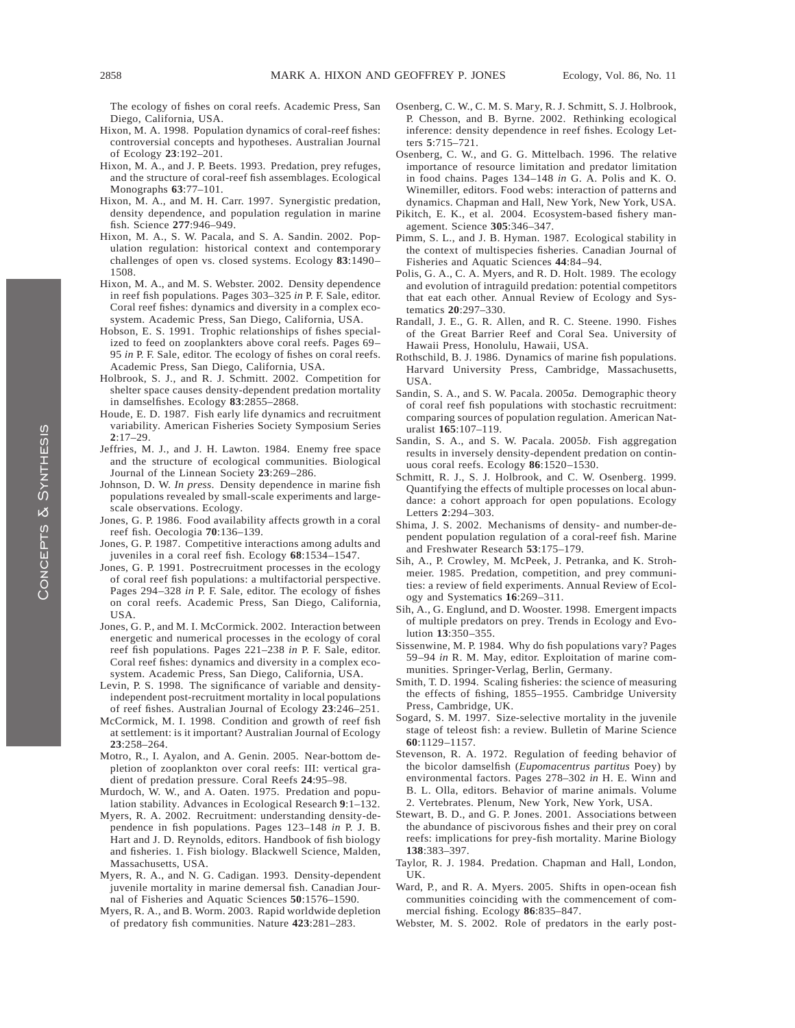The ecology of fishes on coral reefs. Academic Press, San Diego, California, USA.

- Hixon, M. A. 1998. Population dynamics of coral-reef fishes: controversial concepts and hypotheses. Australian Journal of Ecology **23**:192–201.
- Hixon, M. A., and J. P. Beets. 1993. Predation, prey refuges, and the structure of coral-reef fish assemblages. Ecological Monographs **63**:77–101.
- Hixon, M. A., and M. H. Carr. 1997. Synergistic predation, density dependence, and population regulation in marine fish. Science **277**:946–949.
- Hixon, M. A., S. W. Pacala, and S. A. Sandin. 2002. Population regulation: historical context and contemporary challenges of open vs. closed systems. Ecology **83**:1490– 1508.
- Hixon, M. A., and M. S. Webster. 2002. Density dependence in reef fish populations. Pages 303–325 *in* P. F. Sale, editor. Coral reef fishes: dynamics and diversity in a complex ecosystem. Academic Press, San Diego, California, USA.
- Hobson, E. S. 1991. Trophic relationships of fishes specialized to feed on zooplankters above coral reefs. Pages 69– 95 *in* P. F. Sale, editor. The ecology of fishes on coral reefs. Academic Press, San Diego, California, USA.
- Holbrook, S. J., and R. J. Schmitt. 2002. Competition for shelter space causes density-dependent predation mortality in damselfishes. Ecology **83**:2855–2868.
- Houde, E. D. 1987. Fish early life dynamics and recruitment variability. American Fisheries Society Symposium Series **2**:17–29.
- Jeffries, M. J., and J. H. Lawton. 1984. Enemy free space and the structure of ecological communities. Biological Journal of the Linnean Society **23**:269–286.
- Johnson, D. W. *In press*. Density dependence in marine fish populations revealed by small-scale experiments and largescale observations. Ecology.
- Jones, G. P. 1986. Food availability affects growth in a coral reef fish. Oecologia **70**:136–139.
- Jones, G. P. 1987. Competitive interactions among adults and juveniles in a coral reef fish. Ecology **68**:1534–1547.
- Jones, G. P. 1991. Postrecruitment processes in the ecology of coral reef fish populations: a multifactorial perspective. Pages 294–328 *in* P. F. Sale, editor. The ecology of fishes on coral reefs. Academic Press, San Diego, California, USA.
- Jones, G. P., and M. I. McCormick. 2002. Interaction between energetic and numerical processes in the ecology of coral reef fish populations. Pages 221–238 *in* P. F. Sale, editor. Coral reef fishes: dynamics and diversity in a complex ecosystem. Academic Press, San Diego, California, USA.
- Levin, P. S. 1998. The significance of variable and densityindependent post-recruitment mortality in local populations of reef fishes. Australian Journal of Ecology **23**:246–251.
- McCormick, M. I. 1998. Condition and growth of reef fish at settlement: is it important? Australian Journal of Ecology **23**:258–264.
- Motro, R., I. Ayalon, and A. Genin. 2005. Near-bottom depletion of zooplankton over coral reefs: III: vertical gradient of predation pressure. Coral Reefs **24**:95–98.
- Murdoch, W. W., and A. Oaten. 1975. Predation and population stability. Advances in Ecological Research **9**:1–132.
- Myers, R. A. 2002. Recruitment: understanding density-dependence in fish populations. Pages 123–148 *in* P. J. B. Hart and J. D. Reynolds, editors. Handbook of fish biology and fisheries. 1. Fish biology. Blackwell Science, Malden, Massachusetts, USA.
- Myers, R. A., and N. G. Cadigan. 1993. Density-dependent juvenile mortality in marine demersal fish. Canadian Journal of Fisheries and Aquatic Sciences **50**:1576–1590.
- Myers, R. A., and B. Worm. 2003. Rapid worldwide depletion of predatory fish communities. Nature **423**:281–283.
- Osenberg, C. W., C. M. S. Mary, R. J. Schmitt, S. J. Holbrook, P. Chesson, and B. Byrne. 2002. Rethinking ecological inference: density dependence in reef fishes. Ecology Letters **5**:715–721.
- Osenberg, C. W., and G. G. Mittelbach. 1996. The relative importance of resource limitation and predator limitation in food chains. Pages 134–148 *in* G. A. Polis and K. O. Winemiller, editors. Food webs: interaction of patterns and dynamics. Chapman and Hall, New York, New York, USA.
- Pikitch, E. K., et al. 2004. Ecosystem-based fishery management. Science **305**:346–347.
- Pimm, S. L., and J. B. Hyman. 1987. Ecological stability in the context of multispecies fisheries. Canadian Journal of Fisheries and Aquatic Sciences **44**:84–94.
- Polis, G. A., C. A. Myers, and R. D. Holt. 1989. The ecology and evolution of intraguild predation: potential competitors that eat each other. Annual Review of Ecology and Systematics **20**:297–330.
- Randall, J. E., G. R. Allen, and R. C. Steene. 1990. Fishes of the Great Barrier Reef and Coral Sea. University of Hawaii Press, Honolulu, Hawaii, USA.
- Rothschild, B. J. 1986. Dynamics of marine fish populations. Harvard University Press, Cambridge, Massachusetts, USA.
- Sandin, S. A., and S. W. Pacala. 2005*a*. Demographic theory of coral reef fish populations with stochastic recruitment: comparing sources of population regulation. American Naturalist **165**:107–119.
- Sandin, S. A., and S. W. Pacala. 2005*b*. Fish aggregation results in inversely density-dependent predation on continuous coral reefs. Ecology **86**:1520–1530.
- Schmitt, R. J., S. J. Holbrook, and C. W. Osenberg. 1999. Quantifying the effects of multiple processes on local abundance: a cohort approach for open populations. Ecology Letters **2**:294–303.
- Shima, J. S. 2002. Mechanisms of density- and number-dependent population regulation of a coral-reef fish. Marine and Freshwater Research **53**:175–179.
- Sih, A., P. Crowley, M. McPeek, J. Petranka, and K. Strohmeier. 1985. Predation, competition, and prey communities: a review of field experiments. Annual Review of Ecology and Systematics **16**:269–311.
- Sih, A., G. Englund, and D. Wooster. 1998. Emergent impacts of multiple predators on prey. Trends in Ecology and Evolution **13**:350–355.
- Sissenwine, M. P. 1984. Why do fish populations vary? Pages 59–94 *in* R. M. May, editor. Exploitation of marine communities. Springer-Verlag, Berlin, Germany.
- Smith, T. D. 1994. Scaling fisheries: the science of measuring the effects of fishing, 1855–1955. Cambridge University Press, Cambridge, UK.
- Sogard, S. M. 1997. Size-selective mortality in the juvenile stage of teleost fish: a review. Bulletin of Marine Science **60**:1129–1157.
- Stevenson, R. A. 1972. Regulation of feeding behavior of the bicolor damselfish (*Eupomacentrus partitus* Poey) by environmental factors. Pages 278–302 *in* H. E. Winn and B. L. Olla, editors. Behavior of marine animals. Volume 2. Vertebrates. Plenum, New York, New York, USA.
- Stewart, B. D., and G. P. Jones. 2001. Associations between the abundance of piscivorous fishes and their prey on coral reefs: implications for prey-fish mortality. Marine Biology **138**:383–397.
- Taylor, R. J. 1984. Predation. Chapman and Hall, London, UK.
- Ward, P., and R. A. Myers. 2005. Shifts in open-ocean fish communities coinciding with the commencement of commercial fishing. Ecology **86**:835–847.
- Webster, M. S. 2002. Role of predators in the early post-